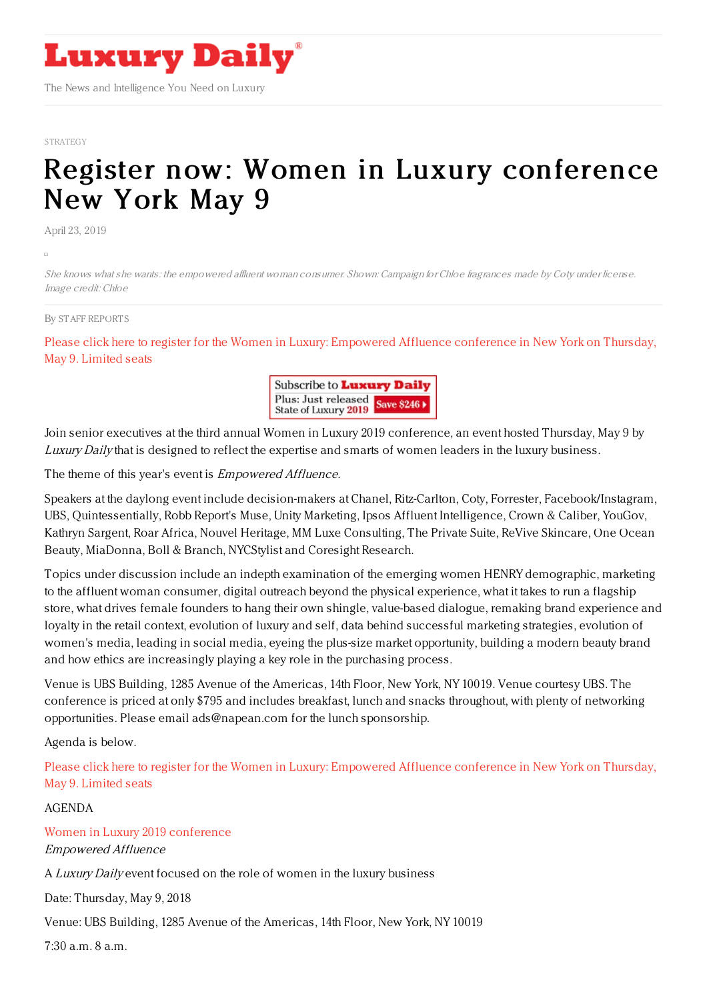

The News and Intelligence You Need on Luxury

#### [STRATEGY](https://www.luxurydaily.com/category/opinion/strategy-opinion/)

# Register now: Women in Luxury [conference](https://www.luxurydaily.com/register-now-women-in-luxury-conference-new-york-may-9-72/) New York May 9

April 23, 2019

She knows what she wants: the empowered affluent woman consumer. Shown: Campaign for Chloe fragrances made by Coty under license. Image credit: Chloe

#### By STAFF [REPORT](file:///author/staff-reports) S

Please click here to register for the Women in Luxury: [Empowered](https://www.luxurydaily.com/conference-page/) Affluence conference in New York on Thursday, May 9. Limited seats



Join senior executives at the third annual Women in Luxury 2019 conference, an event hosted Thursday, May 9 by Luxury Daily that is designed to reflect the expertise and smarts of women leaders in the luxury business.

The theme of this year's event is *Empowered Affluence*.

Speakers at the daylong event include decision-makers at Chanel, Ritz-Carlton, Coty, Forrester, Facebook/Instagram, UBS, Quintessentially, Robb Report's Muse, Unity Marketing, Ipsos Affluent Intelligence, Crown & Caliber, YouGov, Kathryn Sargent, Roar Africa, Nouvel Heritage, MM Luxe Consulting, The Private Suite, ReVive Skincare, One Ocean Beauty, MiaDonna, Boll & Branch, NYCStylist and Coresight Research.

Topics under discussion include an indepth examination of the emerging women HENRY demographic, marketing to the affluent woman consumer, digital outreach beyond the physical experience, what it takes to run a flagship store, what drives female founders to hang their own shingle, value-based dialogue, remaking brand experience and loyalty in the retail context, evolution of luxury and self, data behind successful marketing strategies, evolution of women's media, leading in social media, eyeing the plus-size market opportunity, building a modern beauty brand and how ethics are increasingly playing a key role in the purchasing process.

Venue is UBS Building, 1285 Avenue of the Americas, 14th Floor, New York, NY 10019. Venue courtesy UBS. The conference is priced at only \$795 and includes breakfast, lunch and snacks throughout, with plenty of networking opportunities. Please email ads@napean.com for the lunch sponsorship.

Agenda is below.

Please click here to register for the Women in Luxury: [Empowered](https://www.luxurydaily.com/conference-page/) Affluence conference in New York on Thursday, May 9. Limited seats

AGENDA

Women in Luxury 2019 [conference](https://www.luxurydaily.com/conference-page/)

Empowered Affluence

A Luxury Daily event focused on the role of women in the luxury business

Date: Thursday, May 9, 2018

Venue: UBS Building, 1285 Avenue of the Americas, 14th Floor, New York, NY 10019

7:30 a.m. 8 a.m.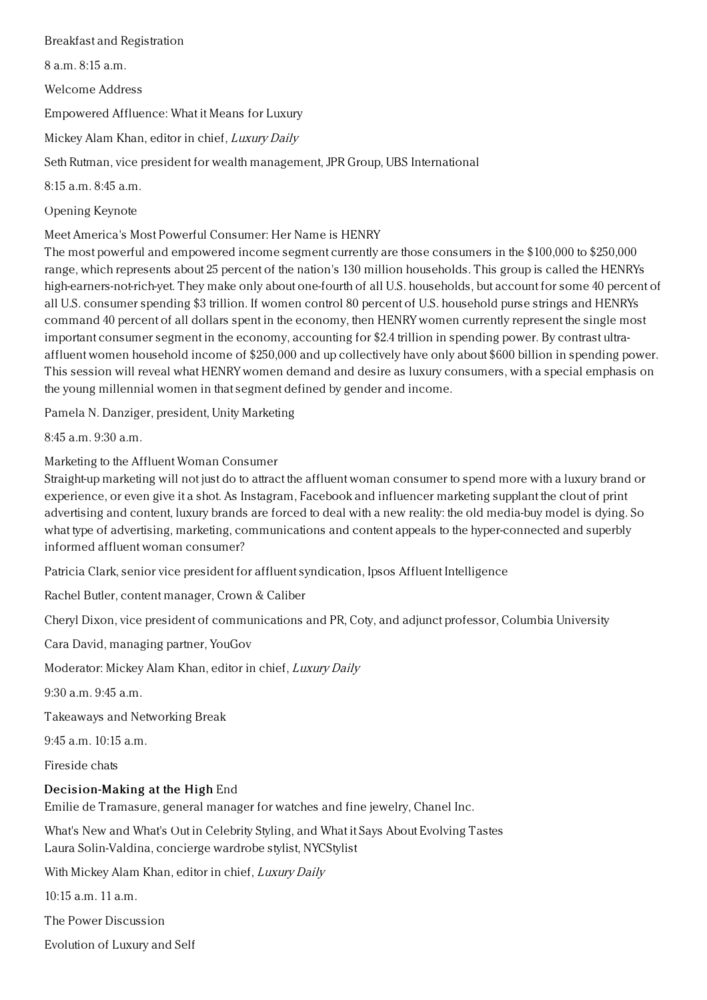### Breakfast and Registration

8 a.m. 8:15 a.m.

Welcome Address

Empowered Affluence: What it Means for Luxury

Mickey Alam Khan, editor in chief, Luxury Daily

Seth Rutman, vice president for wealth management, JPR Group, UBS International

8:15 a.m. 8:45 a.m.

Opening Keynote

Meet America's Most Powerful Consumer: Her Name is HENRY

The most powerful and empowered income segment currently are those consumers in the \$100,000 to \$250,000 range, which represents about 25 percent of the nation's 130 million households. This group is called the HENRYs high-earners-not-rich-yet. They make only about one-fourth of all U.S. households, but account for some 40 percent of all U.S. consumer spending \$3 trillion. If women control 80 percent of U.S. household purse strings and HENRYs command 40 percent of all dollars spent in the economy, then HENRY women currently represent the single most important consumer segment in the economy, accounting for \$2.4 trillion in spending power. By contrast ultraaffluent women household income of \$250,000 and up collectively have only about \$600 billion in spending power. This session will reveal what HENRY women demand and desire as luxury consumers, with a special emphasis on the young millennial women in that segment defined by gender and income.

Pamela N. Danziger, president, Unity Marketing

8:45 a.m. 9:30 a.m.

Marketing to the Affluent Woman Consumer

Straight-up marketing will not just do to attract the affluent woman consumer to spend more with a luxury brand or experience, or even give it a shot. As Instagram, Facebook and influencer marketing supplant the clout of print advertising and content, luxury brands are forced to deal with a new reality: the old media-buy model is dying. So what type of advertising, marketing, communications and content appeals to the hyper-connected and superbly informed affluent woman consumer?

Patricia Clark, senior vice president for affluent syndication, Ipsos Affluent Intelligence

Rachel Butler, content manager, Crown & Caliber

Cheryl Dixon, vice president of communications and PR, Coty, and adjunct professor, Columbia University

Cara David, managing partner, YouGov

Moderator: Mickey Alam Khan, editor in chief, Luxury Daily

9:30 a.m. 9:45 a.m.

Takeaways and Networking Break

 $9:45$  a.m.  $10:15$  a.m.

Fireside chats

## Decision-Making at the High End

Emilie de Tramasure, general manager for watches and fine jewelry, Chanel Inc.

What's New and What's Out in Celebrity Styling, and What it Says About Evolving Tastes Laura Solin-Valdina, concierge wardrobe stylist, NYCStylist

With Mickey Alam Khan, editor in chief, Luxury Daily

10:15 a.m. 11 a.m.

The Power Discussion

Evolution of Luxury and Self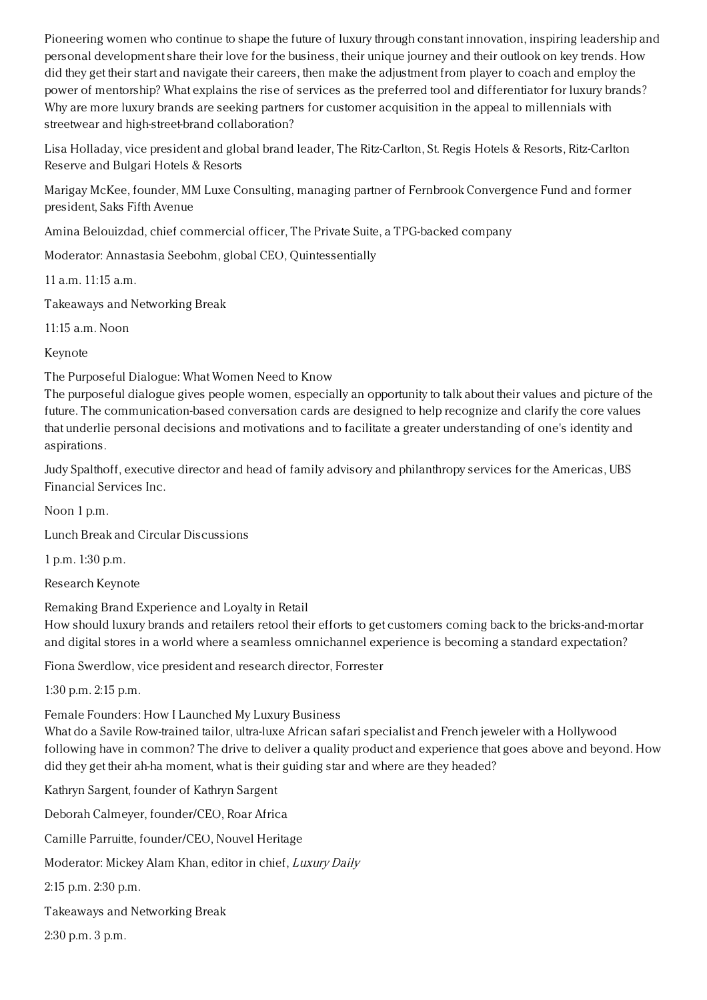Pioneering women who continue to shape the future of luxury through constant innovation, inspiring leadership and personal development share their love for the business, their unique journey and their outlook on key trends. How did they get their start and navigate their careers, then make the adjustment from player to coach and employ the power of mentorship? What explains the rise of services as the preferred tool and differentiator for luxury brands? Why are more luxury brands are seeking partners for customer acquisition in the appeal to millennials with streetwear and high-street-brand collaboration?

Lisa Holladay, vice president and global brand leader, The Ritz-Carlton, St. Regis Hotels & Resorts, Ritz-Carlton Reserve and Bulgari Hotels & Resorts

Marigay McKee, founder, MM Luxe Consulting, managing partner of Fernbrook Convergence Fund and former president, Saks Fifth Avenue

Amina Belouizdad, chief commercial officer, The Private Suite, a TPG-backed company

Moderator: Annastasia Seebohm, global CEO, Quintessentially

11 a.m. 11:15 a.m.

Takeaways and Networking Break

11:15 a.m. Noon

Keynote

The Purposeful Dialogue: What Women Need to Know

The purposeful dialogue gives people women, especially an opportunity to talk about their values and picture of the future. The communication-based conversation cards are designed to help recognize and clarify the core values that underlie personal decisions and motivations and to facilitate a greater understanding of one's identity and aspirations.

Judy Spalthoff, executive director and head of family advisory and philanthropy services for the Americas, UBS Financial Services Inc.

Noon 1 p.m.

Lunch Break and Circular Discussions

1 p.m. 1:30 p.m.

Research Keynote

Remaking Brand Experience and Loyalty in Retail

How should luxury brands and retailers retool their efforts to get customers coming back to the bricks-and-mortar and digital stores in a world where a seamless omnichannel experience is becoming a standard expectation?

Fiona Swerdlow, vice president and research director, Forrester

1:30 p.m. 2:15 p.m.

Female Founders: How I Launched My Luxury Business

What do a Savile Row-trained tailor, ultra-luxe African safari specialist and French jeweler with a Hollywood following have in common? The drive to deliver a quality product and experience that goes above and beyond. How did they get their ah-ha moment, what is their guiding star and where are they headed?

Kathryn Sargent, founder of Kathryn Sargent Deborah Calmeyer, founder/CEO, Roar Africa Camille Parruitte, founder/CEO, Nouvel Heritage Moderator: Mickey Alam Khan, editor in chief, Luxury Daily 2:15 p.m. 2:30 p.m.

Takeaways and Networking Break

2:30 p.m. 3 p.m.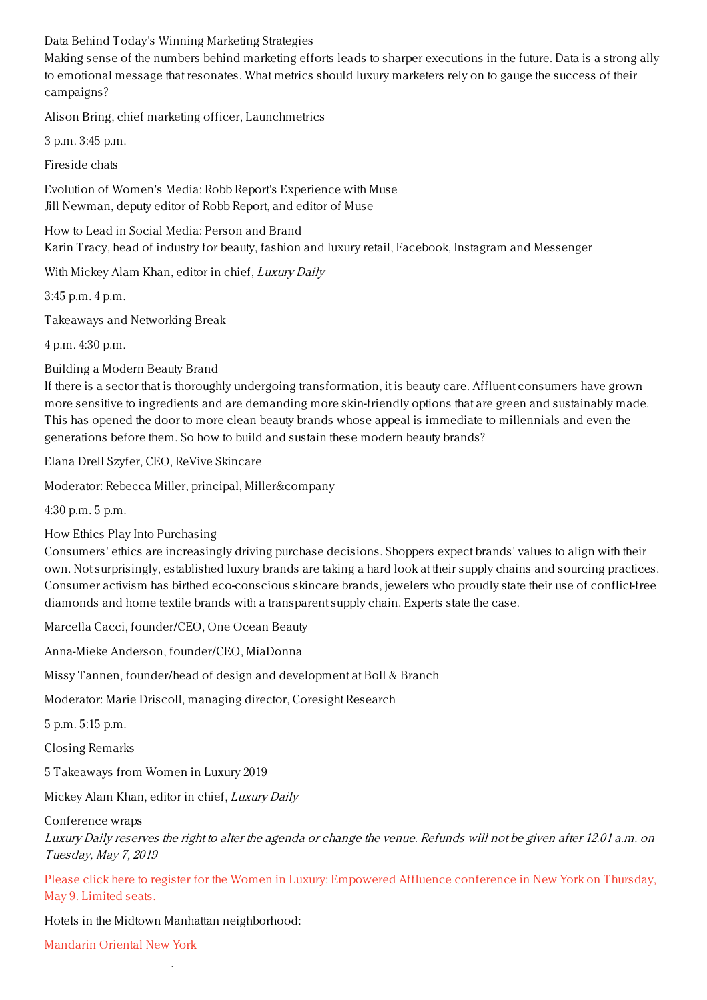Data Behind Today's Winning Marketing Strategies

Making sense of the numbers behind marketing efforts leads to sharper executions in the future. Data is a strong ally to emotional message that resonates. What metrics should luxury marketers rely on to gauge the success of their campaigns?

Alison Bring, chief marketing officer, Launchmetrics

3 p.m. 3:45 p.m.

Fireside chats

Evolution of Women's Media: Robb Report's Experience with Muse Jill Newman, deputy editor of Robb Report, and editor of Muse

How to Lead in Social Media: Person and Brand Karin Tracy, head of industry for beauty, fashion and luxury retail, Facebook, Instagram and Messenger

With Mickey Alam Khan, editor in chief, Luxury Daily

3:45 p.m. 4 p.m.

Takeaways and Networking Break

4 p.m. 4:30 p.m.

Building a Modern Beauty Brand

If there is a sector that is thoroughly undergoing transformation, it is beauty care. Affluent consumers have grown more sensitive to ingredients and are demanding more skin-friendly options that are green and sustainably made. This has opened the door to more clean beauty brands whose appeal is immediate to millennials and even the generations before them. So how to build and sustain these modern beauty brands?

Elana Drell Szyfer, CEO, ReVive Skincare

Moderator: Rebecca Miller, principal, Miller&company

4:30 p.m. 5 p.m.

How Ethics Play Into Purchasing

Consumers' ethics are increasingly driving purchase decisions. Shoppers expect brands' values to align with their own. Not surprisingly, established luxury brands are taking a hard look at their supply chains and sourcing practices. Consumer activism has birthed eco-conscious skincare brands, jewelers who proudly state their use of conflict-free diamonds and home textile brands with a transparent supply chain. Experts state the case.

Marcella Cacci, founder/CEO, One Ocean Beauty

Anna-Mieke Anderson, founder/CEO, MiaDonna

Missy Tannen, founder/head of design and development at Boll & Branch

Moderator: Marie Driscoll, managing director, Coresight Research

5 p.m. 5:15 p.m.

Closing Remarks

5 Takeaways from Women in Luxury 2019

Mickey Alam Khan, editor in chief, Luxury Daily

Conference wraps

Luxury Daily reserves the right to alter the agenda or change the venue. Refunds will not be given after 12.01 a.m. on Tuesday, May 7, 2019

Please click here to register for the Women in Luxury: [Empowered](https://www.luxurydaily.com/conference-page/) Affluence conference in New York on Thursday, May 9. Limited seats.

Hotels in the Midtown Manhattan neighborhood:

th

[Mandarin](http://www.mandarinoriental.com/newyork/?htl=MONYC&eng=google&src=local) Oriental New York